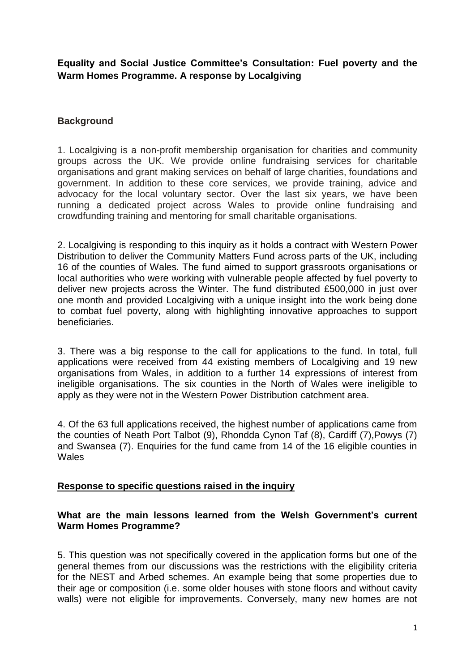**Equality and Social Justice Committee's Consultation: Fuel poverty and the Warm Homes Programme. A response by Localgiving**

### **Background**

1. Localgiving is a non-profit membership organisation for charities and community groups across the UK. We provide online fundraising services for charitable organisations and grant making services on behalf of large charities, foundations and government. In addition to these core services, we provide training, advice and advocacy for the local voluntary sector. Over the last six years, we have been running a dedicated project across Wales to provide online fundraising and crowdfunding training and mentoring for small charitable organisations.

2. Localgiving is responding to this inquiry as it holds a contract with Western Power Distribution to deliver the Community Matters Fund across parts of the UK, including 16 of the counties of Wales. The fund aimed to support grassroots organisations or local authorities who were working with vulnerable people affected by fuel poverty to deliver new projects across the Winter. The fund distributed £500,000 in just over one month and provided Localgiving with a unique insight into the work being done to combat fuel poverty, along with highlighting innovative approaches to support beneficiaries.

3. There was a big response to the call for applications to the fund. In total, full applications were received from 44 existing members of Localgiving and 19 new organisations from Wales, in addition to a further 14 expressions of interest from ineligible organisations. The six counties in the North of Wales were ineligible to apply as they were not in the Western Power Distribution catchment area.

4. Of the 63 full applications received, the highest number of applications came from the counties of Neath Port Talbot (9), Rhondda Cynon Taf (8), Cardiff (7),Powys (7) and Swansea (7). Enquiries for the fund came from 14 of the 16 eligible counties in **Wales** 

#### **Response to specific questions raised in the inquiry**

#### **What are the main lessons learned from the Welsh Government's current Warm Homes Programme?**

5. This question was not specifically covered in the application forms but one of the general themes from our discussions was the restrictions with the eligibility criteria for the NEST and Arbed schemes. An example being that some properties due to their age or composition (i.e. some older houses with stone floors and without cavity walls) were not eligible for improvements. Conversely, many new homes are not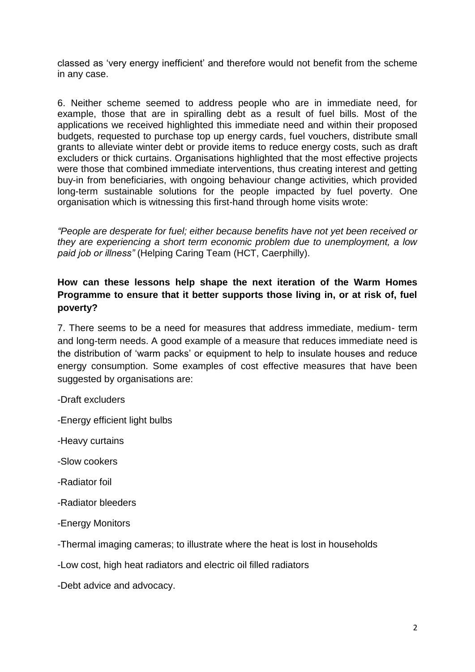classed as 'very energy inefficient' and therefore would not benefit from the scheme in any case.

6. Neither scheme seemed to address people who are in immediate need, for example, those that are in spiralling debt as a result of fuel bills. Most of the applications we received highlighted this immediate need and within their proposed budgets, requested to purchase top up energy cards, fuel vouchers, distribute small grants to alleviate winter debt or provide items to reduce energy costs, such as draft excluders or thick curtains. Organisations highlighted that the most effective projects were those that combined immediate interventions, thus creating interest and getting buy-in from beneficiaries, with ongoing behaviour change activities, which provided long-term sustainable solutions for the people impacted by fuel poverty. One organisation which is witnessing this first-hand through home visits wrote:

*"People are desperate for fuel; either because benefits have not yet been received or they are experiencing a short term economic problem due to unemployment, a low paid job or illness"* (Helping Caring Team (HCT, Caerphilly).

## **How can these lessons help shape the next iteration of the Warm Homes Programme to ensure that it better supports those living in, or at risk of, fuel poverty?**

7. There seems to be a need for measures that address immediate, medium- term and long-term needs. A good example of a measure that reduces immediate need is the distribution of 'warm packs' or equipment to help to insulate houses and reduce energy consumption. Some examples of cost effective measures that have been suggested by organisations are:

-Draft excluders

- -Energy efficient light bulbs
- -Heavy curtains
- -Slow cookers
- -Radiator foil
- -Radiator bleeders
- -Energy Monitors

-Thermal imaging cameras; to illustrate where the heat is lost in households

-Low cost, high heat radiators and electric oil filled radiators

-Debt advice and advocacy.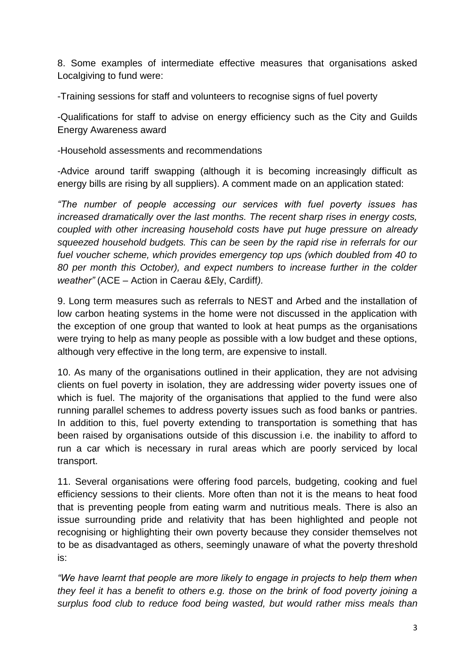8. Some examples of intermediate effective measures that organisations asked Localgiving to fund were:

-Training sessions for staff and volunteers to recognise signs of fuel poverty

-Qualifications for staff to advise on energy efficiency such as the City and Guilds Energy Awareness award

-Household assessments and recommendations

-Advice around tariff swapping (although it is becoming increasingly difficult as energy bills are rising by all suppliers). A comment made on an application stated:

*"The number of people accessing our services with fuel poverty issues has increased dramatically over the last months. The recent sharp rises in energy costs, coupled with other increasing household costs have put huge pressure on already squeezed household budgets. This can be seen by the rapid rise in referrals for our fuel voucher scheme, which provides emergency top ups (which doubled from 40 to 80 per month this October), and expect numbers to increase further in the colder weather"* (ACE – Action in Caerau &Ely, Cardiff*).*

9. Long term measures such as referrals to NEST and Arbed and the installation of low carbon heating systems in the home were not discussed in the application with the exception of one group that wanted to look at heat pumps as the organisations were trying to help as many people as possible with a low budget and these options, although very effective in the long term, are expensive to install.

10. As many of the organisations outlined in their application, they are not advising clients on fuel poverty in isolation, they are addressing wider poverty issues one of which is fuel. The majority of the organisations that applied to the fund were also running parallel schemes to address poverty issues such as food banks or pantries. In addition to this, fuel poverty extending to transportation is something that has been raised by organisations outside of this discussion i.e. the inability to afford to run a car which is necessary in rural areas which are poorly serviced by local transport.

11. Several organisations were offering food parcels, budgeting, cooking and fuel efficiency sessions to their clients. More often than not it is the means to heat food that is preventing people from eating warm and nutritious meals. There is also an issue surrounding pride and relativity that has been highlighted and people not recognising or highlighting their own poverty because they consider themselves not to be as disadvantaged as others, seemingly unaware of what the poverty threshold is:

*"We have learnt that people are more likely to engage in projects to help them when they feel it has a benefit to others e.g. those on the brink of food poverty joining a surplus food club to reduce food being wasted, but would rather miss meals than*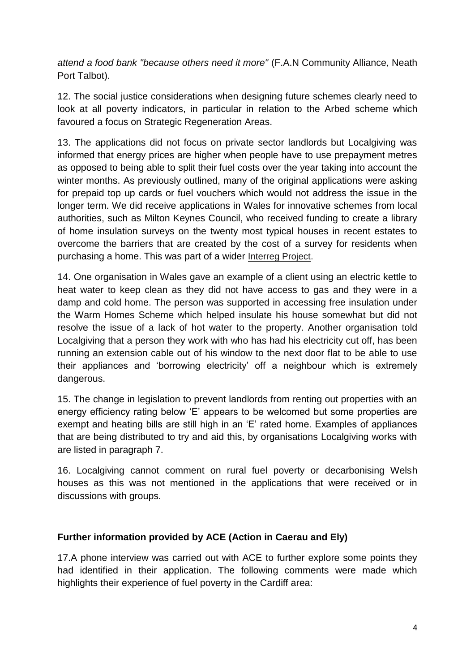*attend a food bank "because others need it more"* (F.A.N Community Alliance, Neath Port Talbot).

12. The social justice considerations when designing future schemes clearly need to look at all poverty indicators, in particular in relation to the Arbed scheme which favoured a focus on Strategic Regeneration Areas.

13. The applications did not focus on private sector landlords but Localgiving was informed that energy prices are higher when people have to use prepayment metres as opposed to being able to split their fuel costs over the year taking into account the winter months. As previously outlined, many of the original applications were asking for prepaid top up cards or fuel vouchers which would not address the issue in the longer term. We did receive applications in Wales for innovative schemes from local authorities, such as Milton Keynes Council, who received funding to create a library of home insulation surveys on the twenty most typical houses in recent estates to overcome the barriers that are created by the cost of a survey for residents when purchasing a home. This was part of a wider [Interreg Project.](https://www.interregeurope.eu/potent/)

14. One organisation in Wales gave an example of a client using an electric kettle to heat water to keep clean as they did not have access to gas and they were in a damp and cold home. The person was supported in accessing free insulation under the Warm Homes Scheme which helped insulate his house somewhat but did not resolve the issue of a lack of hot water to the property. Another organisation told Localgiving that a person they work with who has had his electricity cut off, has been running an extension cable out of his window to the next door flat to be able to use their appliances and 'borrowing electricity' off a neighbour which is extremely dangerous.

15. The change in legislation to prevent landlords from renting out properties with an energy efficiency rating below 'E' appears to be welcomed but some properties are exempt and heating bills are still high in an 'E' rated home. Examples of appliances that are being distributed to try and aid this, by organisations Localgiving works with are listed in paragraph 7.

16. Localgiving cannot comment on rural fuel poverty or decarbonising Welsh houses as this was not mentioned in the applications that were received or in discussions with groups.

# **Further information provided by ACE (Action in Caerau and Ely)**

17.A phone interview was carried out with ACE to further explore some points they had identified in their application. The following comments were made which highlights their experience of fuel poverty in the Cardiff area: